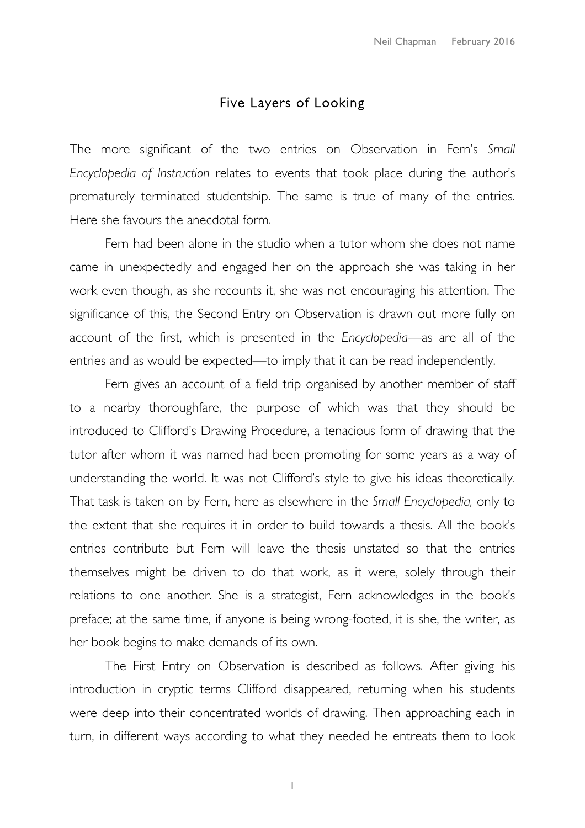## Five Layers of Looking

The more significant of the two entries on Observation in Fern's *Small Encyclopedia of Instruction* relates to events that took place during the author's prematurely terminated studentship. The same is true of many of the entries. Here she favours the anecdotal form.

Fern had been alone in the studio when a tutor whom she does not name came in unexpectedly and engaged her on the approach she was taking in her work even though, as she recounts it, she was not encouraging his attention. The significance of this, the Second Entry on Observation is drawn out more fully on account of the first, which is presented in the *Encyclopedia—*as are all of the entries and as would be expected—to imply that it can be read independently.

Fern gives an account of a field trip organised by another member of staff to a nearby thoroughfare, the purpose of which was that they should be introduced to Clifford's Drawing Procedure, a tenacious form of drawing that the tutor after whom it was named had been promoting for some years as a way of understanding the world. It was not Clifford's style to give his ideas theoretically. That task is taken on by Fern, here as elsewhere in the *Small Encyclopedia,* only to the extent that she requires it in order to build towards a thesis. All the book's entries contribute but Fern will leave the thesis unstated so that the entries themselves might be driven to do that work, as it were, solely through their relations to one another. She is a strategist, Fern acknowledges in the book's preface; at the same time, if anyone is being wrong-footed, it is she, the writer, as her book begins to make demands of its own.

The First Entry on Observation is described as follows. After giving his introduction in cryptic terms Clifford disappeared, returning when his students were deep into their concentrated worlds of drawing. Then approaching each in turn, in different ways according to what they needed he entreats them to look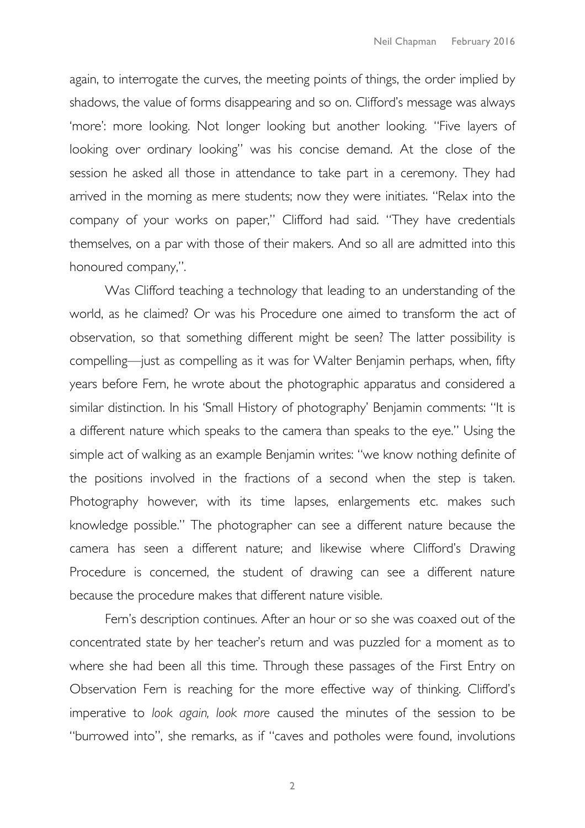again, to interrogate the curves, the meeting points of things, the order implied by shadows, the value of forms disappearing and so on. Clifford's message was always 'more': more looking. Not longer looking but another looking. "Five layers of looking over ordinary looking" was his concise demand. At the close of the session he asked all those in attendance to take part in a ceremony. They had arrived in the morning as mere students; now they were initiates. "Relax into the company of your works on paper," Clifford had said. "They have credentials themselves, on a par with those of their makers. And so all are admitted into this honoured company,".

Was Clifford teaching a technology that leading to an understanding of the world, as he claimed? Or was his Procedure one aimed to transform the act of observation, so that something different might be seen? The latter possibility is compelling—just as compelling as it was for Walter Benjamin perhaps, when, fifty years before Fern, he wrote about the photographic apparatus and considered a similar distinction. In his 'Small History of photography' Benjamin comments: "It is a different nature which speaks to the camera than speaks to the eye." Using the simple act of walking as an example Benjamin writes: "we know nothing definite of the positions involved in the fractions of a second when the step is taken. Photography however, with its time lapses, enlargements etc. makes such knowledge possible." The photographer can see a different nature because the camera has seen a different nature; and likewise where Clifford's Drawing Procedure is concerned, the student of drawing can see a different nature because the procedure makes that different nature visible.

Fern's description continues. After an hour or so she was coaxed out of the concentrated state by her teacher's return and was puzzled for a moment as to where she had been all this time. Through these passages of the First Entry on Observation Fern is reaching for the more effective way of thinking. Clifford's imperative to *look again, look more* caused the minutes of the session to be "burrowed into", she remarks, as if "caves and potholes were found, involutions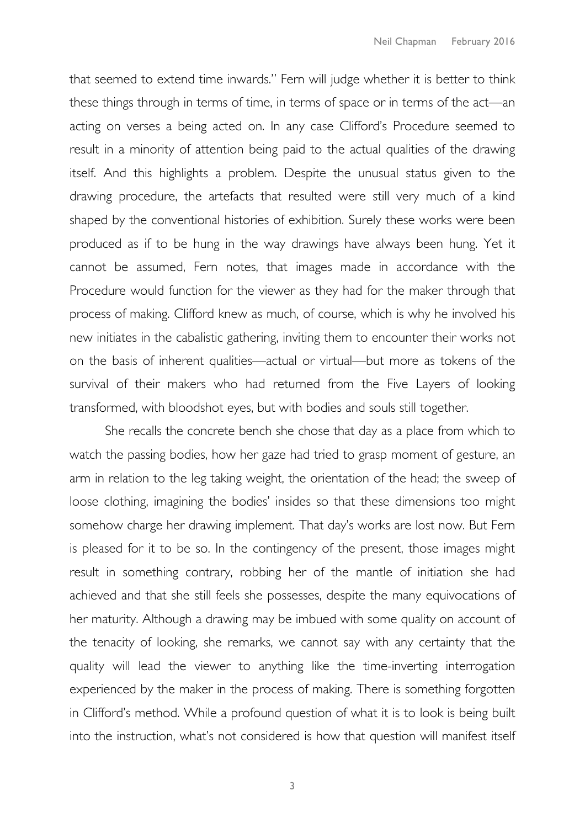that seemed to extend time inwards." Fern will judge whether it is better to think these things through in terms of time, in terms of space or in terms of the act—an acting on verses a being acted on. In any case Clifford's Procedure seemed to result in a minority of attention being paid to the actual qualities of the drawing itself. And this highlights a problem. Despite the unusual status given to the drawing procedure, the artefacts that resulted were still very much of a kind shaped by the conventional histories of exhibition. Surely these works were been produced as if to be hung in the way drawings have always been hung. Yet it cannot be assumed, Fern notes, that images made in accordance with the Procedure would function for the viewer as they had for the maker through that process of making. Clifford knew as much, of course, which is why he involved his new initiates in the cabalistic gathering, inviting them to encounter their works not on the basis of inherent qualities—actual or virtual—but more as tokens of the survival of their makers who had returned from the Five Layers of looking transformed, with bloodshot eyes, but with bodies and souls still together.

She recalls the concrete bench she chose that day as a place from which to watch the passing bodies, how her gaze had tried to grasp moment of gesture, an arm in relation to the leg taking weight, the orientation of the head; the sweep of loose clothing, imagining the bodies' insides so that these dimensions too might somehow charge her drawing implement. That day's works are lost now. But Fern is pleased for it to be so. In the contingency of the present, those images might result in something contrary, robbing her of the mantle of initiation she had achieved and that she still feels she possesses, despite the many equivocations of her maturity. Although a drawing may be imbued with some quality on account of the tenacity of looking, she remarks, we cannot say with any certainty that the quality will lead the viewer to anything like the time-inverting interrogation experienced by the maker in the process of making. There is something forgotten in Clifford's method. While a profound question of what it is to look is being built into the instruction, what's not considered is how that question will manifest itself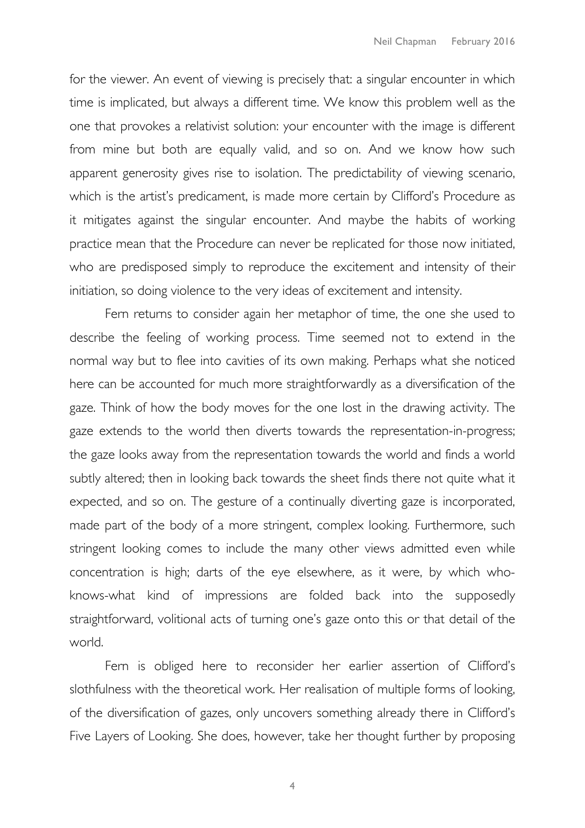for the viewer. An event of viewing is precisely that: a singular encounter in which time is implicated, but always a different time. We know this problem well as the one that provokes a relativist solution: your encounter with the image is different from mine but both are equally valid, and so on. And we know how such apparent generosity gives rise to isolation. The predictability of viewing scenario, which is the artist's predicament, is made more certain by Clifford's Procedure as it mitigates against the singular encounter. And maybe the habits of working practice mean that the Procedure can never be replicated for those now initiated, who are predisposed simply to reproduce the excitement and intensity of their initiation, so doing violence to the very ideas of excitement and intensity.

Fern returns to consider again her metaphor of time, the one she used to describe the feeling of working process. Time seemed not to extend in the normal way but to flee into cavities of its own making. Perhaps what she noticed here can be accounted for much more straightforwardly as a diversification of the gaze. Think of how the body moves for the one lost in the drawing activity. The gaze extends to the world then diverts towards the representation-in-progress; the gaze looks away from the representation towards the world and finds a world subtly altered; then in looking back towards the sheet finds there not quite what it expected, and so on. The gesture of a continually diverting gaze is incorporated, made part of the body of a more stringent, complex looking. Furthermore, such stringent looking comes to include the many other views admitted even while concentration is high; darts of the eye elsewhere, as it were, by which whoknows-what kind of impressions are folded back into the supposedly straightforward, volitional acts of turning one's gaze onto this or that detail of the world.

Fern is obliged here to reconsider her earlier assertion of Clifford's slothfulness with the theoretical work. Her realisation of multiple forms of looking, of the diversification of gazes, only uncovers something already there in Clifford's Five Layers of Looking. She does, however, take her thought further by proposing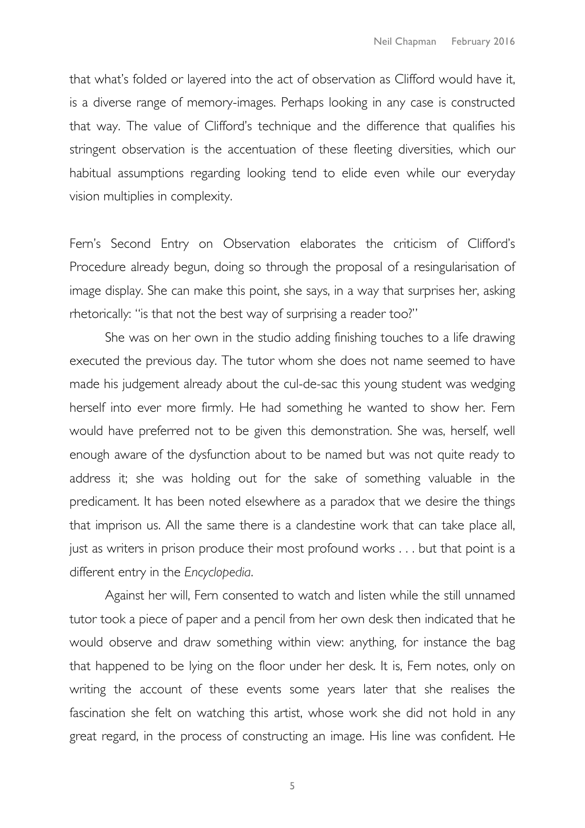that what's folded or layered into the act of observation as Clifford would have it, is a diverse range of memory-images. Perhaps looking in any case is constructed that way. The value of Clifford's technique and the difference that qualifies his stringent observation is the accentuation of these fleeting diversities, which our habitual assumptions regarding looking tend to elide even while our everyday vision multiplies in complexity.

Fern's Second Entry on Observation elaborates the criticism of Clifford's Procedure already begun, doing so through the proposal of a resingularisation of image display. She can make this point, she says, in a way that surprises her, asking rhetorically: "is that not the best way of surprising a reader too?"

She was on her own in the studio adding finishing touches to a life drawing executed the previous day. The tutor whom she does not name seemed to have made his judgement already about the cul-de-sac this young student was wedging herself into ever more firmly. He had something he wanted to show her. Fern would have preferred not to be given this demonstration. She was, herself, well enough aware of the dysfunction about to be named but was not quite ready to address it; she was holding out for the sake of something valuable in the predicament. It has been noted elsewhere as a paradox that we desire the things that imprison us. All the same there is a clandestine work that can take place all, just as writers in prison produce their most profound works . . . but that point is a different entry in the *Encyclopedia*.

Against her will, Fern consented to watch and listen while the still unnamed tutor took a piece of paper and a pencil from her own desk then indicated that he would observe and draw something within view: anything, for instance the bag that happened to be lying on the floor under her desk. It is, Fern notes, only on writing the account of these events some years later that she realises the fascination she felt on watching this artist, whose work she did not hold in any great regard, in the process of constructing an image. His line was confident. He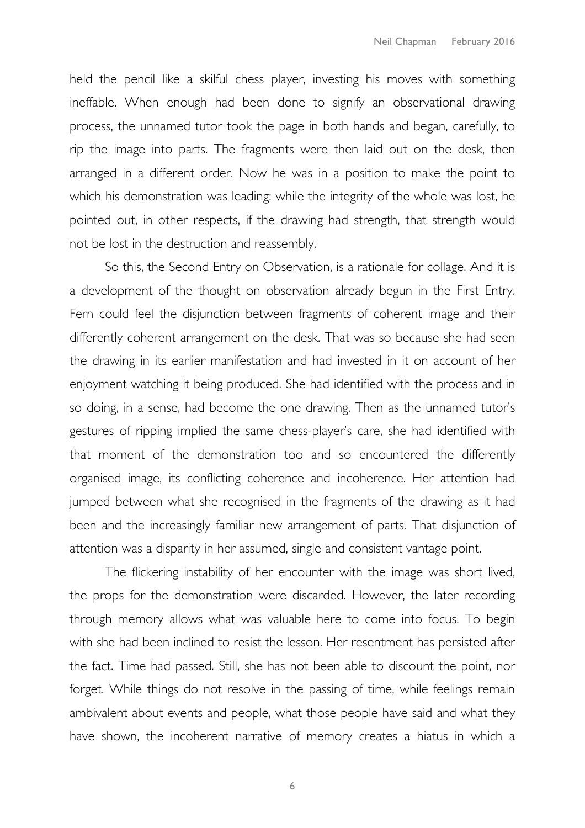held the pencil like a skilful chess player, investing his moves with something ineffable. When enough had been done to signify an observational drawing process, the unnamed tutor took the page in both hands and began, carefully, to rip the image into parts. The fragments were then laid out on the desk, then arranged in a different order. Now he was in a position to make the point to which his demonstration was leading: while the integrity of the whole was lost, he pointed out, in other respects, if the drawing had strength, that strength would not be lost in the destruction and reassembly.

So this, the Second Entry on Observation, is a rationale for collage. And it is a development of the thought on observation already begun in the First Entry. Fern could feel the disjunction between fragments of coherent image and their differently coherent arrangement on the desk. That was so because she had seen the drawing in its earlier manifestation and had invested in it on account of her enjoyment watching it being produced. She had identified with the process and in so doing, in a sense, had become the one drawing. Then as the unnamed tutor's gestures of ripping implied the same chess-player's care, she had identified with that moment of the demonstration too and so encountered the differently organised image, its conflicting coherence and incoherence. Her attention had jumped between what she recognised in the fragments of the drawing as it had been and the increasingly familiar new arrangement of parts. That disjunction of attention was a disparity in her assumed, single and consistent vantage point.

The flickering instability of her encounter with the image was short lived, the props for the demonstration were discarded. However, the later recording through memory allows what was valuable here to come into focus. To begin with she had been inclined to resist the lesson. Her resentment has persisted after the fact. Time had passed. Still, she has not been able to discount the point, nor forget. While things do not resolve in the passing of time, while feelings remain ambivalent about events and people, what those people have said and what they have shown, the incoherent narrative of memory creates a hiatus in which a